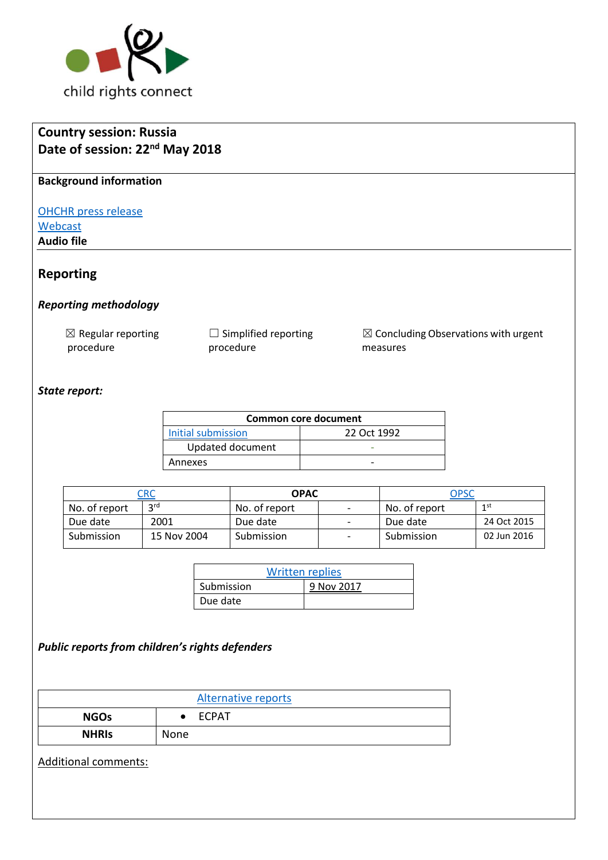

| <b>Country session: Russia</b>                              |                 |                           |                                          |                             |               |             |                                                 |
|-------------------------------------------------------------|-----------------|---------------------------|------------------------------------------|-----------------------------|---------------|-------------|-------------------------------------------------|
| Date of session: 22 <sup>nd</sup> May 2018                  |                 |                           |                                          |                             |               |             |                                                 |
| <b>Background information</b>                               |                 |                           |                                          |                             |               |             |                                                 |
| <b>OHCHR</b> press release<br>Webcast<br><b>Audio file</b>  |                 |                           |                                          |                             |               |             |                                                 |
| <b>Reporting</b>                                            |                 |                           |                                          |                             |               |             |                                                 |
|                                                             |                 |                           |                                          |                             |               |             |                                                 |
| <b>Reporting methodology</b>                                |                 |                           |                                          |                             |               |             |                                                 |
| $\boxtimes$ Regular reporting<br>procedure<br>State report: |                 |                           | $\Box$ Simplified reporting<br>procedure |                             | measures      |             | $\boxtimes$ Concluding Observations with urgent |
|                                                             |                 |                           |                                          | <b>Common core document</b> |               |             |                                                 |
|                                                             |                 | <b>Initial submission</b> |                                          | 22 Oct 1992                 |               |             |                                                 |
|                                                             |                 |                           | Updated document                         | L,                          |               |             |                                                 |
| Annexes                                                     |                 |                           |                                          |                             |               |             |                                                 |
| <b>CRC</b>                                                  |                 |                           | <b>OPAC</b>                              |                             |               | <b>OPSC</b> |                                                 |
| No. of report                                               | 3 <sup>rd</sup> |                           | No. of report                            | $\overline{\phantom{a}}$    | No. of report |             | 1 <sup>st</sup>                                 |
| Due date                                                    | 2001            | Due date                  |                                          | $\overline{\phantom{a}}$    | Due date      |             | 24 Oct 2015                                     |
| Submission                                                  | 15 Nov 2004     |                           | Submission                               | $\overline{\phantom{a}}$    | Submission    |             | 02 Jun 2016                                     |
|                                                             |                 |                           |                                          |                             |               |             |                                                 |
|                                                             |                 | Submission                | <b>Written replies</b><br>9 Nov 2017     |                             |               |             |                                                 |
|                                                             |                 |                           | Due date                                 |                             |               |             |                                                 |
| Public reports from children's rights defenders             |                 |                           |                                          |                             |               |             |                                                 |
|                                                             |                 |                           | <b>Alternative reports</b>               |                             |               |             |                                                 |
| <b>NGOs</b>                                                 |                 | <b>ECPAT</b><br>$\bullet$ |                                          |                             |               |             |                                                 |
|                                                             | None            |                           |                                          |                             |               |             |                                                 |
| <b>NHRIS</b>                                                |                 |                           |                                          |                             |               |             |                                                 |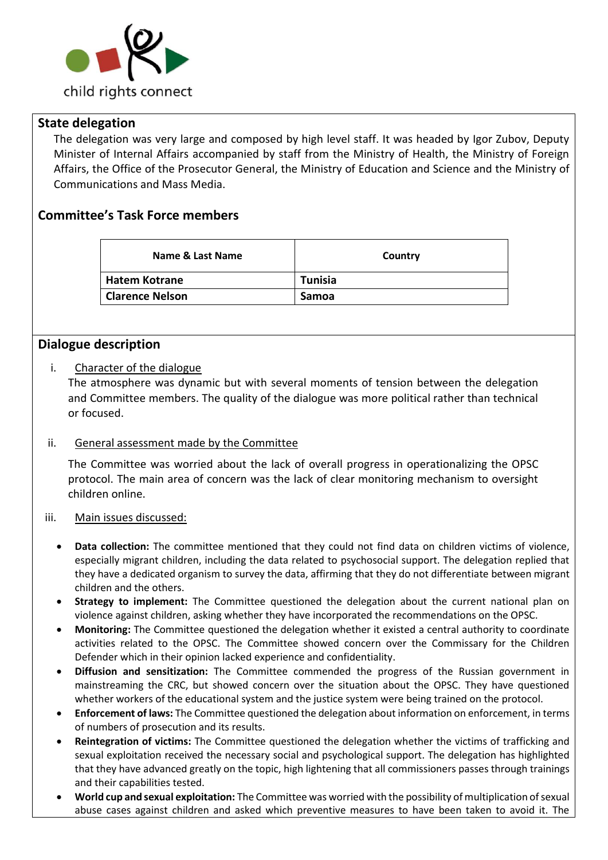

### **State delegation**

The delegation was very large and composed by high level staff. It was headed by Igor Zubov, Deputy Minister of Internal Affairs accompanied by staff from the Ministry of Health, the Ministry of Foreign Affairs, the Office of the Prosecutor General, the Ministry of Education and Science and the Ministry of Communications and Mass Media.

## **Committee's Task Force members**

| Name & Last Name       | Country        |  |  |  |
|------------------------|----------------|--|--|--|
| Hatem Kotrane          | <b>Tunisia</b> |  |  |  |
| <b>Clarence Nelson</b> | <b>Samoa</b>   |  |  |  |

## **Dialogue description**

#### i. Character of the dialogue

The atmosphere was dynamic but with several moments of tension between the delegation and Committee members. The quality of the dialogue was more political rather than technical or focused.

### ii. General assessment made by the Committee

The Committee was worried about the lack of overall progress in operationalizing the OPSC protocol. The main area of concern was the lack of clear monitoring mechanism to oversight children online.

#### iii. Main issues discussed:

- **Data collection:** The committee mentioned that they could not find data on children victims of violence, especially migrant children, including the data related to psychosocial support. The delegation replied that they have a dedicated organism to survey the data, affirming that they do not differentiate between migrant children and the others.
- **Strategy to implement:** The Committee questioned the delegation about the current national plan on violence against children, asking whether they have incorporated the recommendations on the OPSC.
- **Monitoring:** The Committee questioned the delegation whether it existed a central authority to coordinate activities related to the OPSC. The Committee showed concern over the Commissary for the Children Defender which in their opinion lacked experience and confidentiality.
- **Diffusion and sensitization:** The Committee commended the progress of the Russian government in mainstreaming the CRC, but showed concern over the situation about the OPSC. They have questioned whether workers of the educational system and the justice system were being trained on the protocol.
- **Enforcement of laws:** The Committee questioned the delegation about information on enforcement, in terms of numbers of prosecution and its results.
- **Reintegration of victims:** The Committee questioned the delegation whether the victims of trafficking and sexual exploitation received the necessary social and psychological support. The delegation has highlighted that they have advanced greatly on the topic, high lightening that all commissioners passes through trainings and their capabilities tested.
- **World cup and sexual exploitation:** The Committee was worried with the possibility of multiplication of sexual abuse cases against children and asked which preventive measures to have been taken to avoid it. The